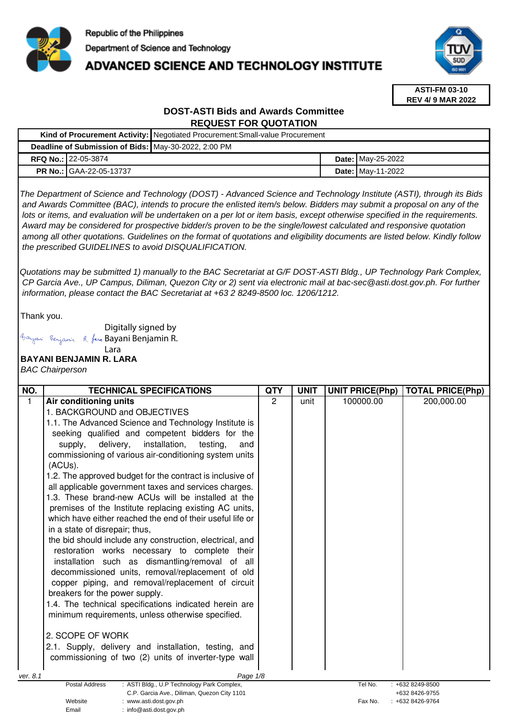

# **ADVANCED SCIENCE AND TECHNOLOGY INSTITUTE**



**ASTI-FM 03-10 REV 4/ 9 MAR 2022**

# **DOST-ASTI Bids and Awards Committee REQUEST FOR QUOTATION**

|  |                                                      | Kind of Procurement Activity:   Negotiated Procurement: Small-value Procurement |  |                          |  |
|--|------------------------------------------------------|---------------------------------------------------------------------------------|--|--------------------------|--|
|  | Deadline of Submission of Bids: May-30-2022, 2:00 PM |                                                                                 |  |                          |  |
|  | <b>RFQ No.: 22-05-3874</b>                           |                                                                                 |  | <b>Date: May-25-2022</b> |  |
|  | <b>PR No.: GAA-22-05-13737</b>                       |                                                                                 |  | <b>Date: May-11-2022</b> |  |

The Department of Science and Technology (DOST) - Advanced Science and Technology Institute (ASTI), through its Bids and Awards Committee (BAC), intends to procure the enlisted item/s below. Bidders may submit a proposal on any of the lots or items, and evaluation will be undertaken on a per lot or item basis, except otherwise specified in the requirements. Award may be considered for prospective bidder/s proven to be the single/lowest calculated and responsive quotation among all other quotations. Guidelines on the format of quotations and eligibility documents are listed below. Kindly follow the prescribed GUIDELINES to avoid DISQUALIFICATION.

Quotations may be submitted 1) manually to the BAC Secretariat at G/F DOST-ASTI Bldg., UP Technology Park Complex, CP Garcia Ave., UP Campus, Diliman, Quezon City or 2) sent via electronic mail at bac-sec@asti.dost.gov.ph. For further information, please contact the BAC Secretariat at +63 2 8249-8500 loc. 1206/1212.

Thank you.

Digitally signed by

Email : info@asti.dost.gov.ph

Bayani Benjamin R. fan Bayani Benjamin R.

#### **BAYANI BENJAMIN R. LARA**  Lara

BAC Chairperson

| NO.         | <b>TECHNICAL SPECIFICATIONS</b>                                                | <b>QTY</b> | <b>UNIT</b> | <b>UNIT PRICE(Php)</b> | <b>TOTAL PRICE(Php)</b>          |
|-------------|--------------------------------------------------------------------------------|------------|-------------|------------------------|----------------------------------|
| $\mathbf 1$ | Air conditioning units                                                         | 2          | unit        | 100000.00              | 200,000.00                       |
|             | 1. BACKGROUND and OBJECTIVES                                                   |            |             |                        |                                  |
|             | 1.1. The Advanced Science and Technology Institute is                          |            |             |                        |                                  |
|             | seeking qualified and competent bidders for the                                |            |             |                        |                                  |
|             | installation,<br>delivery,<br>testing,<br>supply,<br>and                       |            |             |                        |                                  |
|             | commissioning of various air-conditioning system units                         |            |             |                        |                                  |
|             | (ACUs).                                                                        |            |             |                        |                                  |
|             | 1.2. The approved budget for the contract is inclusive of                      |            |             |                        |                                  |
|             | all applicable government taxes and services charges.                          |            |             |                        |                                  |
|             | 1.3. These brand-new ACUs will be installed at the                             |            |             |                        |                                  |
|             | premises of the Institute replacing existing AC units,                         |            |             |                        |                                  |
|             | which have either reached the end of their useful life or                      |            |             |                        |                                  |
|             | in a state of disrepair; thus,                                                 |            |             |                        |                                  |
|             | the bid should include any construction, electrical, and                       |            |             |                        |                                  |
|             | restoration works necessary to complete their                                  |            |             |                        |                                  |
|             | installation such as dismantling/removal of all                                |            |             |                        |                                  |
|             | decommissioned units, removal/replacement of old                               |            |             |                        |                                  |
|             | copper piping, and removal/replacement of circuit                              |            |             |                        |                                  |
|             | breakers for the power supply.                                                 |            |             |                        |                                  |
|             | 1.4. The technical specifications indicated herein are                         |            |             |                        |                                  |
|             | minimum requirements, unless otherwise specified.                              |            |             |                        |                                  |
|             |                                                                                |            |             |                        |                                  |
|             | 2. SCOPE OF WORK                                                               |            |             |                        |                                  |
|             | 2.1. Supply, delivery and installation, testing, and                           |            |             |                        |                                  |
|             | commissioning of two (2) units of inverter-type wall                           |            |             |                        |                                  |
| ver. 8.1    | Page 1/8                                                                       |            |             |                        |                                  |
|             | Postal Address<br>: ASTI Bldg., U.P Technology Park Complex,                   |            |             | Tel No.                | : +632 8249-8500                 |
|             | C.P. Garcia Ave., Diliman, Quezon City 1101<br>Website<br>www.asti.dost.gov.ph |            |             | Fax No.                | +632 8426-9755<br>+632 8426-9764 |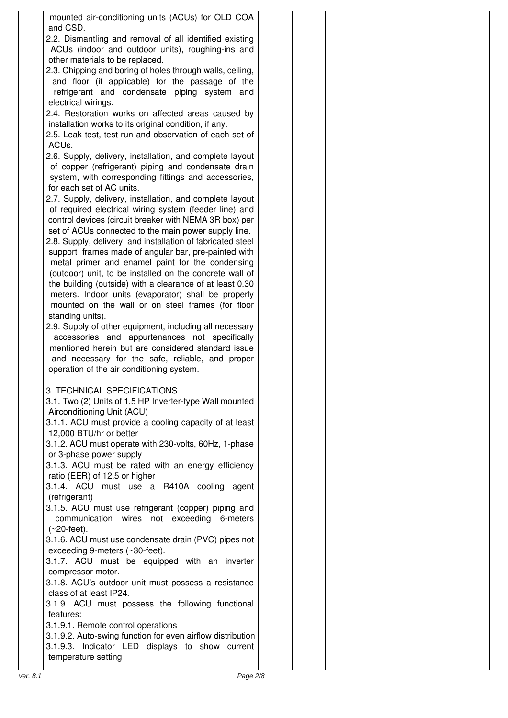mounted air-conditioning units (ACUs) for OLD COA and CSD.

2.2. Dismantling and removal of all identified existing ACUs (indoor and outdoor units), roughing-ins and other materials to be replaced.

2.3. Chipping and boring of holes through walls, ceiling, and floor (if applicable) for the passage of the refrigerant and condensate piping system and electrical wirings.

2.4. Restoration works on affected areas caused by installation works to its original condition, if any.

2.5. Leak test, test run and observation of each set of ACUs.

2.6. Supply, delivery, installation, and complete layout of copper (refrigerant) piping and condensate drain system, with corresponding fittings and accessories, for each set of AC units.

2.7. Supply, delivery, installation, and complete layout of required electrical wiring system (feeder line) and control devices (circuit breaker with NEMA 3R box) per set of ACUs connected to the main power supply line.

2.8. Supply, delivery, and installation of fabricated steel support frames made of angular bar, pre-painted with metal primer and enamel paint for the condensing (outdoor) unit, to be installed on the concrete wall of the building (outside) with a clearance of at least 0.30 meters. Indoor units (evaporator) shall be properly mounted on the wall or on steel frames (for floor standing units).

2.9. Supply of other equipment, including all necessary accessories and appurtenances not specifically mentioned herein but are considered standard issue and necessary for the safe, reliable, and proper operation of the air conditioning system.

## 3. TECHNICAL SPECIFICATIONS

3.1. Two (2) Units of 1.5 HP Inverter-type Wall mounted Airconditioning Unit (ACU)

3.1.1. ACU must provide a cooling capacity of at least 12,000 BTU/hr or better

3.1.2. ACU must operate with 230-volts, 60Hz, 1-phase or 3-phase power supply

3.1.3. ACU must be rated with an energy efficiency ratio (EER) of 12.5 or higher

3.1.4. ACU must use a R410A cooling agent (refrigerant)

3.1.5. ACU must use refrigerant (copper) piping and communication wires not exceeding 6-meters (~20-feet).

3.1.6. ACU must use condensate drain (PVC) pipes not exceeding 9-meters (~30-feet).

3.1.7. ACU must be equipped with an inverter compressor motor.

3.1.8. ACU's outdoor unit must possess a resistance class of at least IP24.

3.1.9. ACU must possess the following functional features:

3.1.9.1. Remote control operations

3.1.9.2. Auto-swing function for even airflow distribution 3.1.9.3. Indicator LED displays to show current temperature setting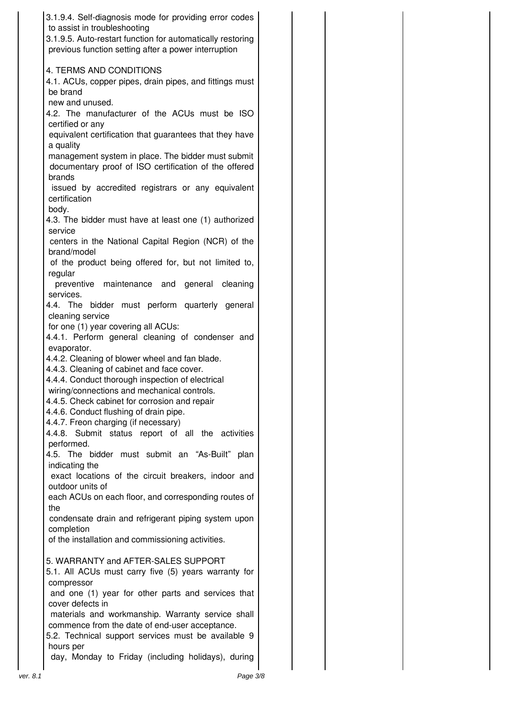| 3.1.9.4. Self-diagnosis mode for providing error codes<br>to assist in troubleshooting<br>3.1.9.5. Auto-restart function for automatically restoring<br>previous function setting after a power interruption |  |
|--------------------------------------------------------------------------------------------------------------------------------------------------------------------------------------------------------------|--|
| <b>4. TERMS AND CONDITIONS</b><br>4.1. ACUs, copper pipes, drain pipes, and fittings must<br>be brand                                                                                                        |  |
| new and unused.<br>4.2. The manufacturer of the ACUs must be ISO<br>certified or any                                                                                                                         |  |
| equivalent certification that guarantees that they have<br>a quality<br>management system in place. The bidder must submit                                                                                   |  |
| documentary proof of ISO certification of the offered<br>brands<br>issued by accredited registrars or any equivalent                                                                                         |  |
| certification<br>body.                                                                                                                                                                                       |  |
| 4.3. The bidder must have at least one (1) authorized<br>service<br>centers in the National Capital Region (NCR) of the                                                                                      |  |
| brand/model<br>of the product being offered for, but not limited to,<br>regular                                                                                                                              |  |
| preventive maintenance and general<br>cleaning<br>services.<br>4.4. The bidder must perform quarterly general                                                                                                |  |
| cleaning service<br>for one (1) year covering all ACUs:<br>4.4.1. Perform general cleaning of condenser and                                                                                                  |  |
| evaporator.<br>4.4.2. Cleaning of blower wheel and fan blade.                                                                                                                                                |  |
| 4.4.3. Cleaning of cabinet and face cover.<br>4.4.4. Conduct thorough inspection of electrical<br>wiring/connections and mechanical controls.<br>4.4.5. Check cabinet for corrosion and repair               |  |
| 4.4.6. Conduct flushing of drain pipe.<br>4.4.7. Freon charging (if necessary)<br>4.4.8. Submit status report of all the activities                                                                          |  |
| performed.<br>4.5. The bidder must submit an "As-Built" plan<br>indicating the                                                                                                                               |  |
| exact locations of the circuit breakers, indoor and<br>outdoor units of<br>each ACUs on each floor, and corresponding routes of                                                                              |  |
| the<br>condensate drain and refrigerant piping system upon<br>completion                                                                                                                                     |  |
| of the installation and commissioning activities.<br>5. WARRANTY and AFTER-SALES SUPPORT                                                                                                                     |  |
| 5.1. All ACUs must carry five (5) years warranty for<br>compressor<br>and one (1) year for other parts and services that                                                                                     |  |
| cover defects in<br>materials and workmanship. Warranty service shall<br>commence from the date of end-user acceptance.                                                                                      |  |
| 5.2. Technical support services must be available 9<br>hours per<br>day, Monday to Friday (including holidays), during                                                                                       |  |
| Page 3/8<br>ver. 8.1                                                                                                                                                                                         |  |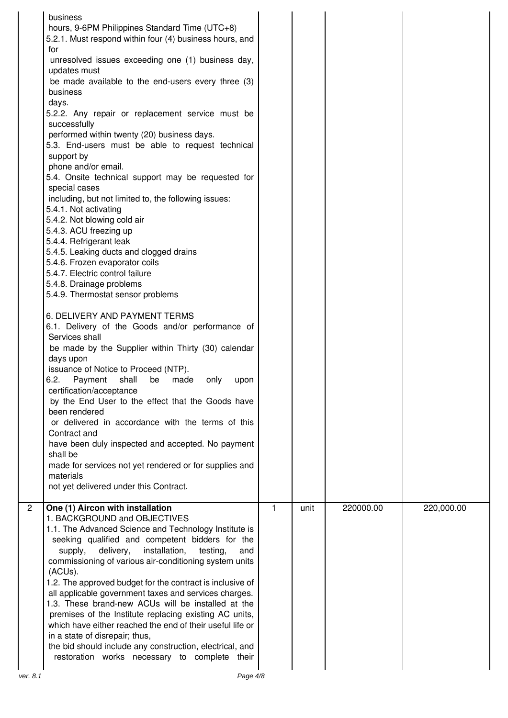|                | business<br>hours, 9-6PM Philippines Standard Time (UTC+8)<br>5.2.1. Must respond within four (4) business hours, and<br>for<br>unresolved issues exceeding one (1) business day,<br>updates must<br>be made available to the end-users every three (3)<br>business<br>days.<br>5.2.2. Any repair or replacement service must be<br>successfully<br>performed within twenty (20) business days.<br>5.3. End-users must be able to request technical<br>support by<br>phone and/or email.<br>5.4. Onsite technical support may be requested for<br>special cases<br>including, but not limited to, the following issues:<br>5.4.1. Not activating<br>5.4.2. Not blowing cold air<br>5.4.3. ACU freezing up<br>5.4.4. Refrigerant leak<br>5.4.5. Leaking ducts and clogged drains<br>5.4.6. Frozen evaporator coils<br>5.4.7. Electric control failure<br>5.4.8. Drainage problems<br>5.4.9. Thermostat sensor problems<br>6. DELIVERY AND PAYMENT TERMS<br>6.1. Delivery of the Goods and/or performance of<br>Services shall<br>be made by the Supplier within Thirty (30) calendar<br>days upon<br>issuance of Notice to Proceed (NTP).<br>6.2.<br>shall<br>Payment<br>be<br>made<br>only<br>upon<br>certification/acceptance<br>by the End User to the effect that the Goods have<br>been rendered<br>or delivered in accordance with the terms of this<br>Contract and<br>have been duly inspected and accepted. No payment<br>shall be<br>made for services not yet rendered or for supplies and<br>materials<br>not yet delivered under this Contract. |              |      |           |            |
|----------------|-------------------------------------------------------------------------------------------------------------------------------------------------------------------------------------------------------------------------------------------------------------------------------------------------------------------------------------------------------------------------------------------------------------------------------------------------------------------------------------------------------------------------------------------------------------------------------------------------------------------------------------------------------------------------------------------------------------------------------------------------------------------------------------------------------------------------------------------------------------------------------------------------------------------------------------------------------------------------------------------------------------------------------------------------------------------------------------------------------------------------------------------------------------------------------------------------------------------------------------------------------------------------------------------------------------------------------------------------------------------------------------------------------------------------------------------------------------------------------------------------------------------------------------------------------------|--------------|------|-----------|------------|
| $\overline{2}$ | One (1) Aircon with installation<br>1. BACKGROUND and OBJECTIVES<br>1.1. The Advanced Science and Technology Institute is<br>seeking qualified and competent bidders for the<br>delivery,<br>installation,<br>supply,<br>testing,<br>and<br>commissioning of various air-conditioning system units<br>(ACUs).<br>1.2. The approved budget for the contract is inclusive of<br>all applicable government taxes and services charges.<br>1.3. These brand-new ACUs will be installed at the<br>premises of the Institute replacing existing AC units,<br>which have either reached the end of their useful life or<br>in a state of disrepair; thus,<br>the bid should include any construction, electrical, and<br>restoration works necessary to complete their                                                                                                                                                                                                                                                                                                                                                                                                                                                                                                                                                                                                                                                                                                                                                                                             | $\mathbf{1}$ | unit | 220000.00 | 220,000.00 |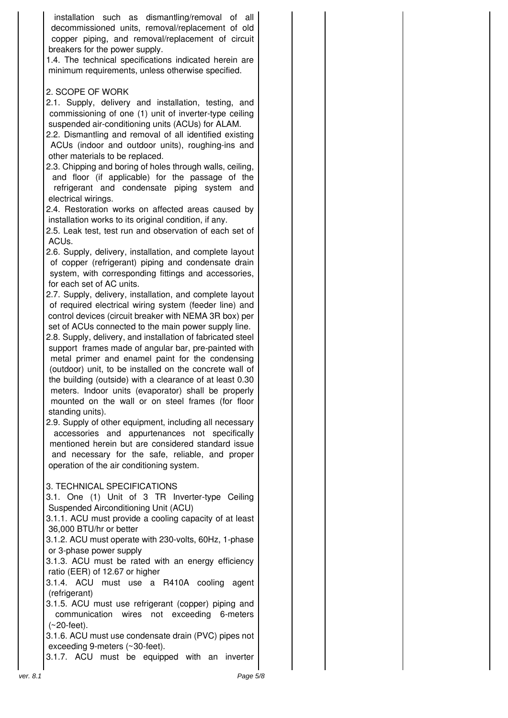installation such as dismantling/removal of all decommissioned units, removal/replacement of old copper piping, and removal/replacement of circuit breakers for the power supply.

1.4. The technical specifications indicated herein are minimum requirements, unless otherwise specified.

# 2. SCOPE OF WORK

2.1. Supply, delivery and installation, testing, and commissioning of one (1) unit of inverter-type ceiling suspended air-conditioning units (ACUs) for ALAM.

2.2. Dismantling and removal of all identified existing ACUs (indoor and outdoor units), roughing-ins and other materials to be replaced.

2.3. Chipping and boring of holes through walls, ceiling, and floor (if applicable) for the passage of the refrigerant and condensate piping system and electrical wirings.

2.4. Restoration works on affected areas caused by installation works to its original condition, if any.

2.5. Leak test, test run and observation of each set of ACUs.

2.6. Supply, delivery, installation, and complete layout of copper (refrigerant) piping and condensate drain system, with corresponding fittings and accessories, for each set of AC units.

2.7. Supply, delivery, installation, and complete layout of required electrical wiring system (feeder line) and control devices (circuit breaker with NEMA 3R box) per set of ACUs connected to the main power supply line.

2.8. Supply, delivery, and installation of fabricated steel support frames made of angular bar, pre-painted with metal primer and enamel paint for the condensing (outdoor) unit, to be installed on the concrete wall of the building (outside) with a clearance of at least 0.30 meters. Indoor units (evaporator) shall be properly mounted on the wall or on steel frames (for floor standing units).

2.9. Supply of other equipment, including all necessary accessories and appurtenances not specifically mentioned herein but are considered standard issue and necessary for the safe, reliable, and proper operation of the air conditioning system.

## 3. TECHNICAL SPECIFICATIONS

3.1. One (1) Unit of 3 TR Inverter-type Ceiling Suspended Airconditioning Unit (ACU)

3.1.1. ACU must provide a cooling capacity of at least 36,000 BTU/hr or better

3.1.2. ACU must operate with 230-volts, 60Hz, 1-phase or 3-phase power supply

3.1.3. ACU must be rated with an energy efficiency ratio (EER) of 12.67 or higher

3.1.4. ACU must use a R410A cooling agent (refrigerant)

3.1.5. ACU must use refrigerant (copper) piping and communication wires not exceeding 6-meters (~20-feet).

3.1.6. ACU must use condensate drain (PVC) pipes not exceeding 9-meters (~30-feet).

3.1.7. ACU must be equipped with an inverter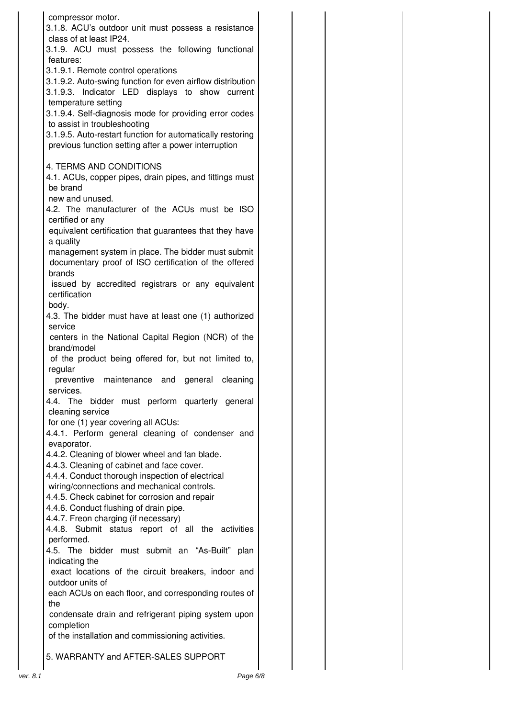| compressor motor.                                                              |  |
|--------------------------------------------------------------------------------|--|
| 3.1.8. ACU's outdoor unit must possess a resistance<br>class of at least IP24. |  |
| 3.1.9. ACU must possess the following functional                               |  |
| features:                                                                      |  |
| 3.1.9.1. Remote control operations                                             |  |
| 3.1.9.2. Auto-swing function for even airflow distribution                     |  |
| 3.1.9.3. Indicator LED displays to show current                                |  |
| temperature setting                                                            |  |
| 3.1.9.4. Self-diagnosis mode for providing error codes                         |  |
| to assist in troubleshooting                                                   |  |
| 3.1.9.5. Auto-restart function for automatically restoring                     |  |
| previous function setting after a power interruption                           |  |
|                                                                                |  |
| 4. TERMS AND CONDITIONS                                                        |  |
| 4.1. ACUs, copper pipes, drain pipes, and fittings must<br>be brand            |  |
| new and unused.                                                                |  |
| 4.2. The manufacturer of the ACUs must be ISO                                  |  |
| certified or any                                                               |  |
| equivalent certification that guarantees that they have                        |  |
| a quality                                                                      |  |
| management system in place. The bidder must submit                             |  |
| documentary proof of ISO certification of the offered                          |  |
| brands                                                                         |  |
| issued by accredited registrars or any equivalent                              |  |
| certification                                                                  |  |
| body.                                                                          |  |
| 4.3. The bidder must have at least one (1) authorized<br>service               |  |
| centers in the National Capital Region (NCR) of the                            |  |
| brand/model                                                                    |  |
| of the product being offered for, but not limited to,                          |  |
| regular                                                                        |  |
| preventive maintenance and general cleaning                                    |  |
| services.                                                                      |  |
| The<br>bidder must perform quarterly general<br>4.4.                           |  |
| cleaning service                                                               |  |
| for one (1) year covering all ACUs:                                            |  |
| 4.4.1. Perform general cleaning of condenser and                               |  |
| evaporator.<br>4.4.2. Cleaning of blower wheel and fan blade.                  |  |
| 4.4.3. Cleaning of cabinet and face cover.                                     |  |
| 4.4.4. Conduct thorough inspection of electrical                               |  |
| wiring/connections and mechanical controls.                                    |  |
| 4.4.5. Check cabinet for corrosion and repair                                  |  |
| 4.4.6. Conduct flushing of drain pipe.                                         |  |
| 4.4.7. Freon charging (if necessary)                                           |  |
| 4.4.8. Submit status report of all the activities                              |  |
| performed.                                                                     |  |
| 4.5. The bidder must submit an "As-Built" plan                                 |  |
| indicating the                                                                 |  |
| exact locations of the circuit breakers, indoor and<br>outdoor units of        |  |
| each ACUs on each floor, and corresponding routes of                           |  |
| the                                                                            |  |
| condensate drain and refrigerant piping system upon                            |  |
| completion                                                                     |  |
| of the installation and commissioning activities.                              |  |
|                                                                                |  |
| 5. WARRANTY and AFTER-SALES SUPPORT                                            |  |
|                                                                                |  |
| Page 6/8<br>ver. 8.1                                                           |  |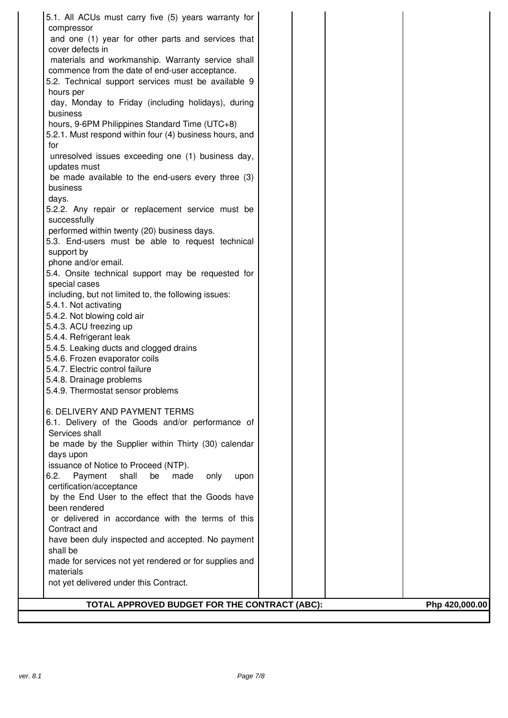| 5.1. All ACUs must carry five (5) years warranty for                               |                |
|------------------------------------------------------------------------------------|----------------|
| compressor                                                                         |                |
| and one (1) year for other parts and services that                                 |                |
| cover defects in                                                                   |                |
| materials and workmanship. Warranty service shall                                  |                |
| commence from the date of end-user acceptance.                                     |                |
| 5.2. Technical support services must be available 9                                |                |
| hours per                                                                          |                |
| day, Monday to Friday (including holidays), during<br>business                     |                |
| hours, 9-6PM Philippines Standard Time (UTC+8)                                     |                |
| 5.2.1. Must respond within four (4) business hours, and                            |                |
| for                                                                                |                |
| unresolved issues exceeding one (1) business day,                                  |                |
| updates must                                                                       |                |
| be made available to the end-users every three (3)                                 |                |
| business                                                                           |                |
| days.                                                                              |                |
| 5.2.2. Any repair or replacement service must be                                   |                |
| successfully                                                                       |                |
| performed within twenty (20) business days.                                        |                |
| 5.3. End-users must be able to request technical                                   |                |
| support by                                                                         |                |
| phone and/or email.                                                                |                |
| 5.4. Onsite technical support may be requested for                                 |                |
| special cases                                                                      |                |
| including, but not limited to, the following issues:<br>5.4.1. Not activating      |                |
| 5.4.2. Not blowing cold air                                                        |                |
| 5.4.3. ACU freezing up                                                             |                |
| 5.4.4. Refrigerant leak                                                            |                |
| 5.4.5. Leaking ducts and clogged drains                                            |                |
| 5.4.6. Frozen evaporator coils                                                     |                |
| 5.4.7. Electric control failure                                                    |                |
| 5.4.8. Drainage problems                                                           |                |
| 5.4.9. Thermostat sensor problems                                                  |                |
|                                                                                    |                |
| 6. DELIVERY AND PAYMENT TERMS                                                      |                |
| 6.1. Delivery of the Goods and/or performance of                                   |                |
| Services shall                                                                     |                |
| be made by the Supplier within Thirty (30) calendar                                |                |
| days upon                                                                          |                |
| issuance of Notice to Proceed (NTP).                                               |                |
| 6.2.<br>Payment<br>shall<br>be<br>made<br>only<br>upon<br>certification/acceptance |                |
| by the End User to the effect that the Goods have                                  |                |
| been rendered                                                                      |                |
| or delivered in accordance with the terms of this                                  |                |
| Contract and                                                                       |                |
| have been duly inspected and accepted. No payment                                  |                |
| shall be                                                                           |                |
| made for services not yet rendered or for supplies and                             |                |
| materials                                                                          |                |
| not yet delivered under this Contract.                                             |                |
|                                                                                    |                |
| TOTAL APPROVED BUDGET FOR THE CONTRACT (ABC):                                      | Php 420,000.00 |
|                                                                                    |                |